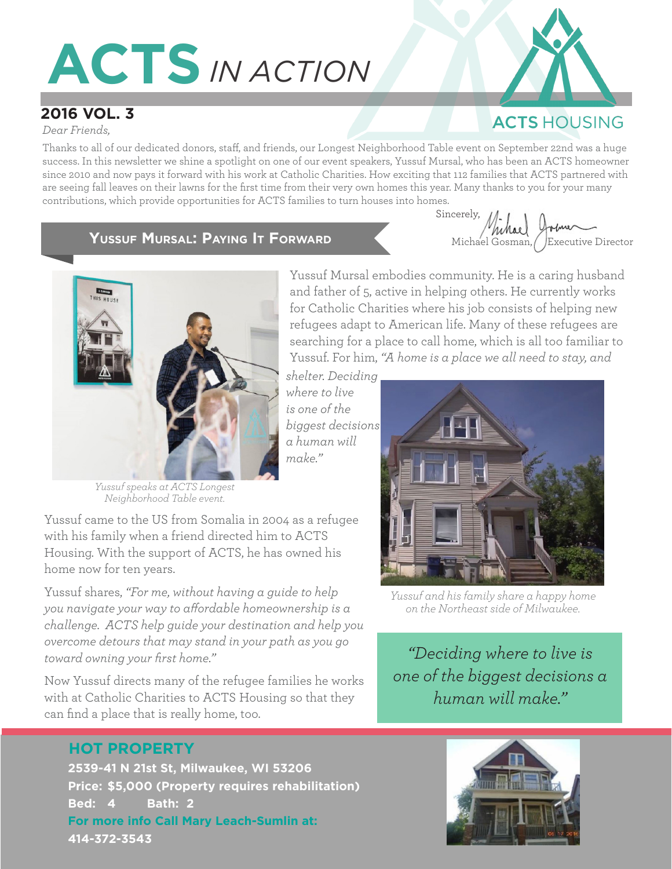# **ACTS***IN ACTION*

## **2016 VOL. 3**

*Dear Friends,*

Thanks to all of our dedicated donors, staff, and friends, our Longest Neighborhood Table event on September 22nd was a huge success. In this newsletter we shine a spotlight on one of our event speakers, Yussuf Mursal, who has been an ACTS homeowner since 2010 and now pays it forward with his work at Catholic Charities. How exciting that 112 families that ACTS partnered with are seeing fall leaves on their lawns for the first time from their very own homes this year. Many thanks to you for your many contributions, which provide opportunities for ACTS families to turn houses into homes.

> *where to live is one of the*

*a human will* 

*make."*

#### **Yussuf Mursal: Paying It Forward**

**Sincerely, the set of the set of the set of the set of the set of the set of the set of the set of the set of the set of the set of the set of the set of the set of the set of the set of the set of the set of the set of t** Icerely, Michael Ortme<br>Michael Gosman, Executive Director

**ACTS HOUSING** 



*Yussuf speaks at ACTS Longest Neighborhood Table event.*

Yussuf came to the US from Somalia in 2004 as a refugee with his family when a friend directed him to ACTS Housing. With the support of ACTS, he has owned his home now for ten years.

Yussuf shares, *"For me, without having a guide to help you navigate your way to affordable homeownership is a challenge. ACTS help guide your destination and help you overcome detours that may stand in your path as you go toward owning your first home."*

Now Yussuf directs many of the refugee families he works with at Catholic Charities to ACTS Housing so that they can find a place that is really home, too.

### **HOT PROPERTY**

**2539-41 N 21st St, Milwaukee, WI 53206 Price: \$5,000 (Property requires rehabilitation) Bed: 4 Bath: 2 For more info Call Mary Leach-Sumlin at: 414-372-3543**



Yussuf Mursal embodies community. He is a caring husband and father of 5, active in helping others. He currently works for Catholic Charities where his job consists of helping new refugees adapt to American life. Many of these refugees are searching for a place to call home, which is all too familiar to

*Yussuf and his family share a happy home on the Northeast side of Milwaukee.*

*"Deciding where to live is one of the biggest decisions a human will make."* 

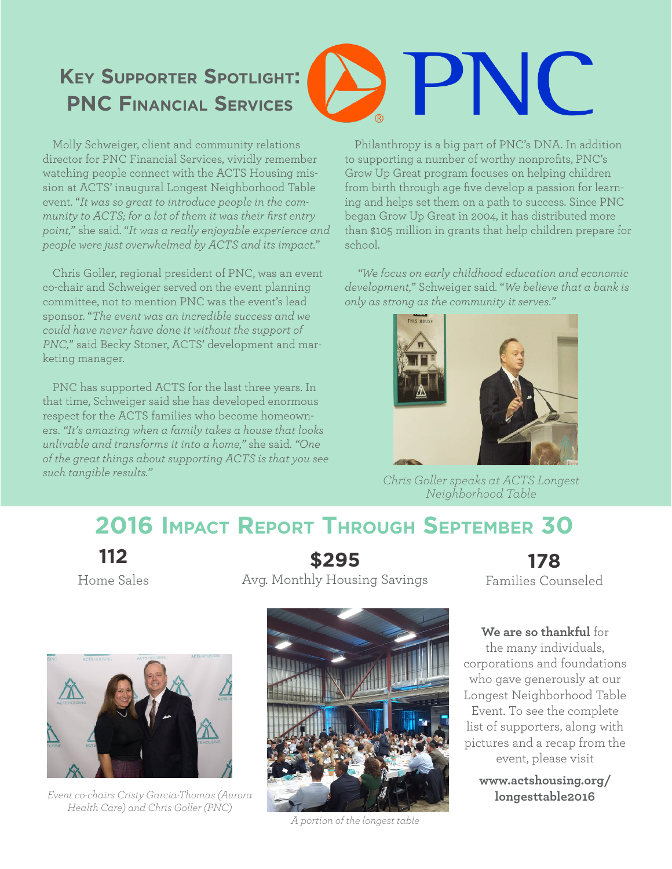# **Key Supporter Spotlight: PNC Financial Services**

Molly Schweiger, client and community relations director for PNC Financial Services, vividly remember watching people connect with the ACTS Housing mission at ACTS' inaugural Longest Neighborhood Table event. "*It was so great to introduce people in the community to ACTS; for a lot of them it was their first entry point,*" she said. "*It was a really enjoyable experience and people were just overwhelmed by ACTS and its impact.*"

Chris Goller, regional president of PNC, was an event co-chair and Schweiger served on the event planning committee, not to mention PNC was the event's lead sponsor. "*The event was an incredible success and we could have never have done it without the support of PNC,*" said Becky Stoner, ACTS' development and marketing manager.

PNC has supported ACTS for the last three years. In that time, Schweiger said she has developed enormous respect for the ACTS families who become homeowners. *"It's amazing when a family takes a house that looks unlivable and transforms it into a home,"* she said. *"One of the great things about supporting ACTS is that you see such tangible results."*

Philanthropy is a big part of PNC's DNA. In addition to supporting a number of worthy nonprofits, PNC's Grow Up Great program focuses on helping children from birth through age five develop a passion for learning and helps set them on a path to success. Since PNC began Grow Up Great in 2004, it has distributed more than \$105 million in grants that help children prepare for school.

PNC

*"We focus on early childhood education and economic development,*" Schweiger said. "*We believe that a bank is only as strong as the community it serves."*



*Chris Goller speaks at ACTS Longest Neighborhood Table*

# **2016 Impact Report Through September 30**

**112**

Home Sales

**\$295** Avg. Monthly Housing Savings

**178** Families Counseled

**We are so thankful** for the many individuals, corporations and foundations who gave generously at our Longest Neighborhood Table Event. To see the complete list of supporters, along with pictures and a recap from the event, please visit

**www.actshousing.org/**



**Event co-chairs Cristy Garcia-Thomas (Aurora algebra) longesttable2016** *Health Care) and Chris Goller (PNC)* 



*A portion of the longest table*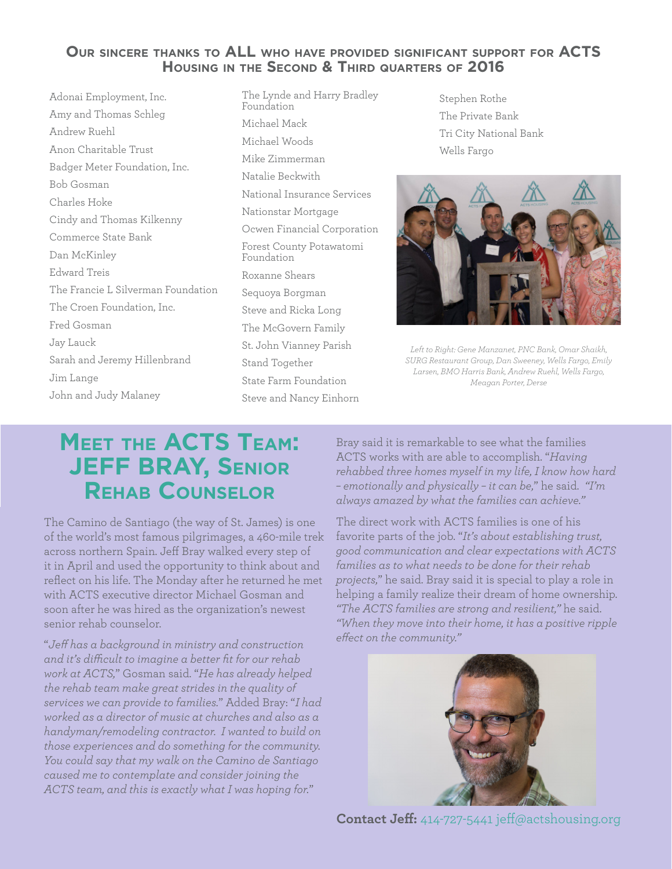#### **Our sincere thanks to ALL who have provided significant support for ACTS Housing in the Second & Third quarters of 2016**

Adonai Employment, Inc. Amy and Thomas Schleg Andrew Ruehl Anon Charitable Trust Badger Meter Foundation, Inc. Bob Gosman Charles Hoke Cindy and Thomas Kilkenny Commerce State Bank Dan McKinley Edward Treis The Francie L Silverman Foundation The Croen Foundation, Inc. Fred Gosman Jay Lauck Sarah and Jeremy Hillenbrand Jim Lange John and Judy Malaney

- The Lynde and Harry Bradley Foundation Michael Mack Michael Woods Mike Zimmerman Natalie Beckwith National Insurance Services Nationstar Mortgage Ocwen Financial Corporation Forest County Potawatomi Foundation Roxanne Shears Sequoya Borgman Steve and Ricka Long The McGovern Family St. John Vianney Parish Stand Together State Farm Foundation Steve and Nancy Einhorn
- Stephen Rothe The Private Bank Tri City National Bank Wells Fargo



*Left to Right: Gene Manzanet, PNC Bank, Omar Shaikh, SURG Restaurant Group, Dan Sweeney, Wells Fargo, Emily Larsen, BMO Harris Bank, Andrew Ruehl, Wells Fargo, Meagan Porter, Derse*

# **Meet the ACTS Team: JEFF BRAY, Senior Rehab Counselor**

The Camino de Santiago (the way of St. James) is one of the world's most famous pilgrimages, a 460-mile trek across northern Spain. Jeff Bray walked every step of it in April and used the opportunity to think about and reflect on his life. The Monday after he returned he met with ACTS executive director Michael Gosman and soon after he was hired as the organization's newest senior rehab counselor.

"*Jeff has a background in ministry and construction and it's difficult to imagine a better fit for our rehab work at ACTS,*" Gosman said. "*He has already helped the rehab team make great strides in the quality of services we can provide to families.*" Added Bray: "*I had worked as a director of music at churches and also as a handyman/remodeling contractor. I wanted to build on those experiences and do something for the community. You could say that my walk on the Camino de Santiago caused me to contemplate and consider joining the ACTS team, and this is exactly what I was hoping for.*"

Bray said it is remarkable to see what the families ACTS works with are able to accomplish. "*Having rehabbed three homes myself in my life, I know how hard – emotionally and physically – it can be,*" he said. *"I'm always amazed by what the families can achieve."*

The direct work with ACTS families is one of his favorite parts of the job. "*It's about establishing trust, good communication and clear expectations with ACTS families as to what needs to be done for their rehab projects,*" he said. Bray said it is special to play a role in helping a family realize their dream of home ownership. *"The ACTS families are strong and resilient,"* he said. *"When they move into their home, it has a positive ripple effect on the community."*



**Contact Jeff:** 414-727-5441 jeff@actshousing.org